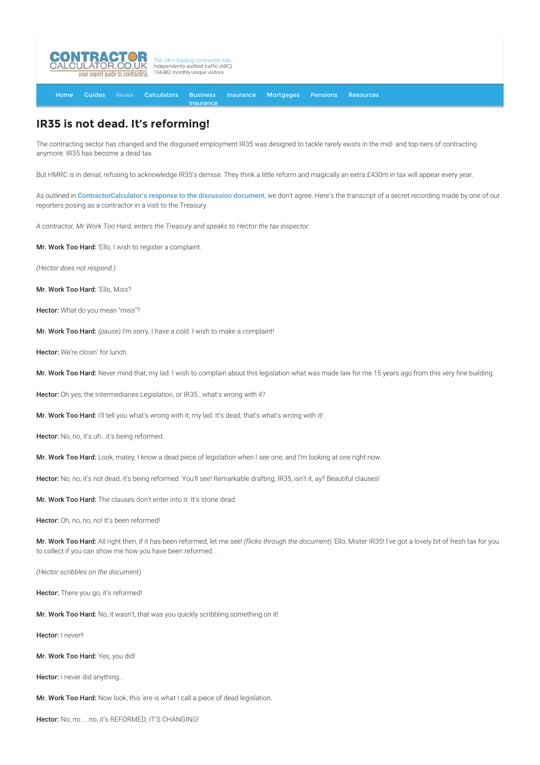

[Home](http://www.contractorcalculator.co.uk/) [Guides](http://www.contractorcalculator.co.uk/Articles.aspx) [News](http://www.contractorcalculator.co.uk/Contractor_News.aspx) [Calculators](http://www.contractorcalculator.co.uk/Calculators.aspx) Business **[Insurance](http://www.contractorcalculator.co.uk/Contractor_Insurances.aspx)** [Insurance](http://www.contractorcalculator.co.uk/Insurance.aspx) [Mortgages](http://www.contractorcalculator.co.uk/Contractor_Mortgages.aspx) [Pensions](http://www.contractorcalculator.co.uk/Contractor_Pensions.aspx) [Resources](http://www.contractorcalculator.co.uk/Contractor_Resources.aspx)

## **IR35 is not dead. It's reforming!**

The contracting sector has changed and the disguised employment IR35 was designed to tackle rarely exists in the mid- and top-tiers of contracting anymore. IR35 has become a dead tax.

But HMRC is in denial, refusing to acknowledge IR35's demise. They think a little reform and magically an extra £430m in tax will appear every year.

As outlined in [ContractorCalculator's response to the discussion document](http://www.contractorcalculator.co.uk/docs/IR35ReformResponseByContractorCalculator.pdf), we don't agree. Here's the transcript of a secret recording made by one of our reporters posing as a contractor in a visit to the Treasury.

*A contractor, Mr Work Too Hard, enters the Treasury and speaks to Hector the tax inspector.*

Mr. Work Too Hard: 'Ello, I wish to register a complaint.

*(Hector does not respond.)*

Mr. Work Too Hard: 'Ello, Miss?

Hector: What do you mean "miss"?

Mr. Work Too Hard: *(pause)* I'm sorry, I have a cold. I wish to make a complaint!

Hector: We're closin' for lunch.

Mr. Work Too Hard: Never mind that, my lad. I wish to complain about this legislation what was made law for me 15 years ago from this very fine building.

Hector: Oh yes, the Intermediaries Legislation, or IR35...what's wrong with it?

Mr. Work Too Hard: I'll tell you what's wrong with it, my lad. It's dead, that's what's wrong with it!

Hector: No, no, it's uh...it's being reformed.

Mr. Work Too Hard: Look, matey, I know a dead piece of legislation when I see one, and I'm looking at one right now.

Hector: No, no, it's not dead, it's being reformed. You'll see! Remarkable drafting, IR35, isn't it, ay? Beautiful clauses!

Mr. Work Too Hard: The clauses don't enter into it. It's stone dead.

Hector: Oh, no, no, no! It's been reformed!

Mr. Work Too Hard: All right then, if it has been reformed, let me see! *(flicks through the document)* 'Ello, Mister IR35! I've got a lovely bit of fresh tax for you to collect if you can show me how you have been reformed...

*(Hector scribbles on the document)*

Hector: There you go, it's reformed!

Mr. Work Too Hard: No, it wasn't, that was you quickly scribbling something on it!

Hector: I never!!

Mr. Work Too Hard: Yes, you did!

Hector: I never did anything...

Mr. Work Too Hard: Now look, this 'ere is what I call a piece of dead legislation.

Hector: No, no.....no, it's REFORMED, IT'S CHANGING!